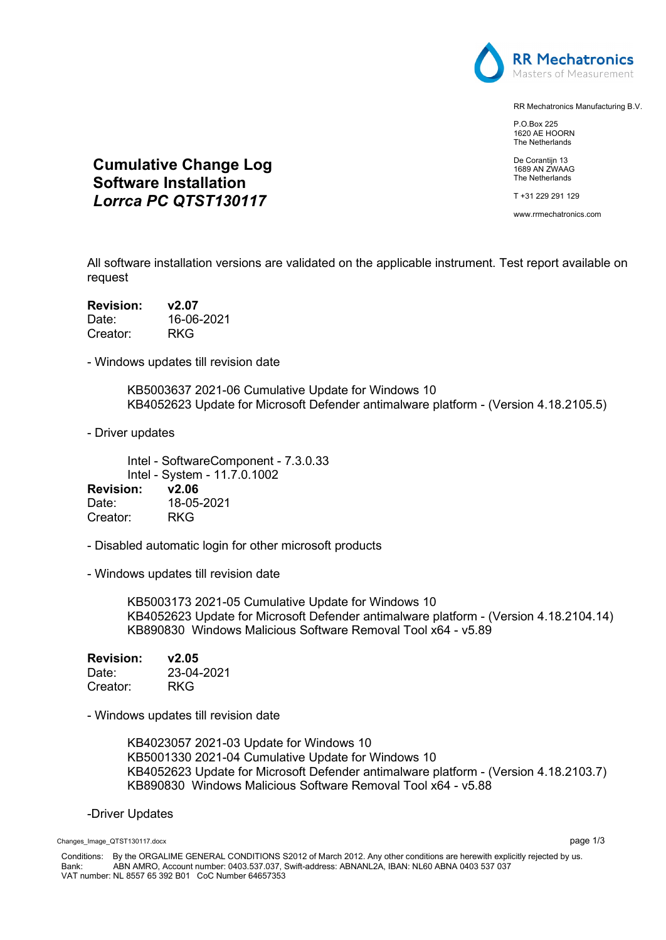

RR Mechatronics Manufacturing B.V.

P.O.Box 225 1620 AE HOORN The Netherlands

De Corantijn 13 1689 AN ZWAAG The Netherlands

T +31 229 291 129

www.rrmechatronics.com

All software installation versions are validated on the applicable instrument. Test report available on request

| <b>Revision:</b> | v2.07      |
|------------------|------------|
| Date:            | 16-06-2021 |
| Creator:         | RKG        |

- Windows updates till revision date

**Cumulative Change Log Software Installation**  *Lorrca PC QTST130117*

> KB5003637 2021-06 Cumulative Update for Windows 10 KB4052623 Update for Microsoft Defender antimalware platform - (Version 4.18.2105.5)

- Driver updates

Intel - SoftwareComponent - 7.3.0.33 Intel - System - 11.7.0.1002 **Revision: v2.06**

Date: 18-05-2021 Creator: RKG

- Disabled automatic login for other microsoft products

- Windows updates till revision date

KB5003173 2021-05 Cumulative Update for Windows 10 KB4052623 Update for Microsoft Defender antimalware platform - (Version 4.18.2104.14) KB890830 Windows Malicious Software Removal Tool x64 - v5.89

| <b>Revision:</b> | v2.05      |
|------------------|------------|
| Date:            | 23-04-2021 |
| Creator:         | RKG        |

- Windows updates till revision date

KB4023057 2021-03 Update for Windows 10 KB5001330 2021-04 Cumulative Update for Windows 10 KB4052623 Update for Microsoft Defender antimalware platform - (Version 4.18.2103.7) KB890830 Windows Malicious Software Removal Tool x64 - v5.88

#### -Driver Updates

Changes\_Image\_QTST130117.docx page 1/3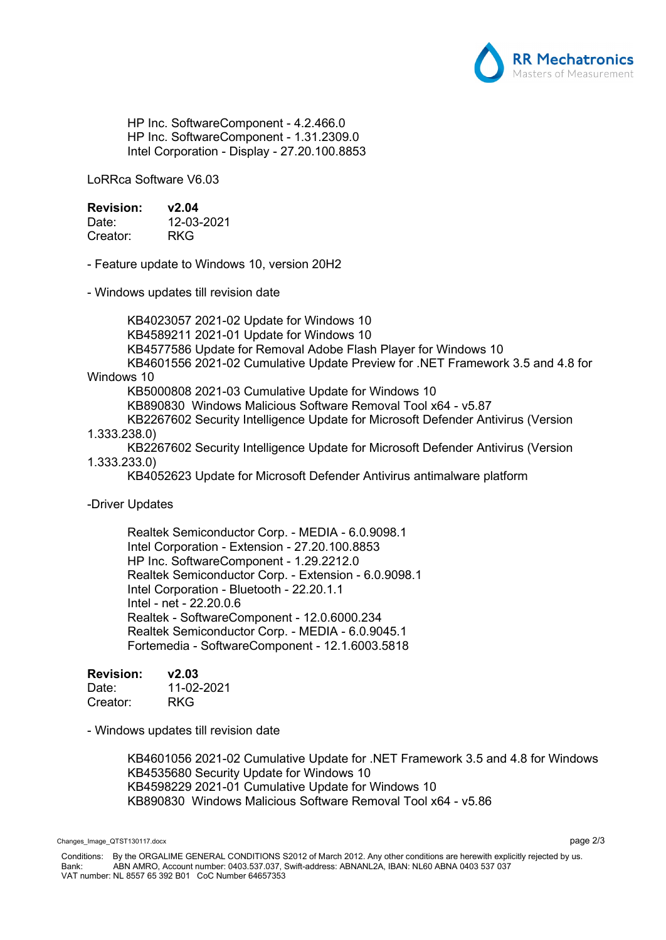

HP Inc. SoftwareComponent - 4.2.466.0 HP Inc. SoftwareComponent - 1.31.2309.0 Intel Corporation - Display - 27.20.100.8853

LoRRca Software V6.03

## **Revision: v2.04**

| Date:    | 12-03-2021 |
|----------|------------|
| Creator: | <b>RKG</b> |

- Feature update to Windows 10, version 20H2

- Windows updates till revision date

KB4023057 2021-02 Update for Windows 10 KB4589211 2021-01 Update for Windows 10 KB4577586 Update for Removal Adobe Flash Player for Windows 10 KB4601556 2021-02 Cumulative Update Preview for .NET Framework 3.5 and 4.8 for

# Windows 10

KB5000808 2021-03 Cumulative Update for Windows 10

KB890830 Windows Malicious Software Removal Tool x64 - v5.87

KB2267602 Security Intelligence Update for Microsoft Defender Antivirus (Version 1.333.238.0)

KB2267602 Security Intelligence Update for Microsoft Defender Antivirus (Version 1.333.233.0)

KB4052623 Update for Microsoft Defender Antivirus antimalware platform

### -Driver Updates

Realtek Semiconductor Corp. - MEDIA - 6.0.9098.1 Intel Corporation - Extension - 27.20.100.8853 HP Inc. SoftwareComponent - 1.29.2212.0 Realtek Semiconductor Corp. - Extension - 6.0.9098.1 Intel Corporation - Bluetooth - 22.20.1.1 Intel - net - 22.20.0.6 Realtek - SoftwareComponent - 12.0.6000.234 Realtek Semiconductor Corp. - MEDIA - 6.0.9045.1 Fortemedia - SoftwareComponent - 12.1.6003.5818

# **Revision: v2.03**

| Date:    | 11-02-2021 |
|----------|------------|
| Creator: | <b>RKG</b> |

- Windows updates till revision date

KB4601056 2021-02 Cumulative Update for .NET Framework 3.5 and 4.8 for Windows KB4535680 Security Update for Windows 10 KB4598229 2021-01 Cumulative Update for Windows 10 KB890830 Windows Malicious Software Removal Tool x64 - v5.86

Changes\_Image\_QTST130117.docx page 2/3